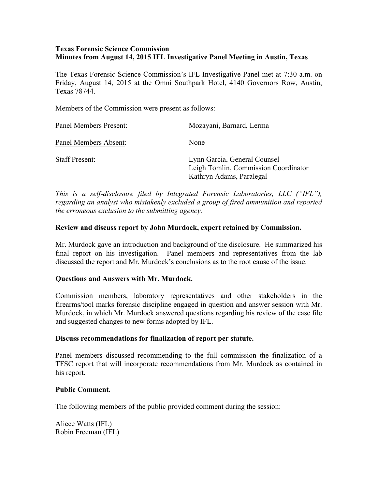## **Texas Forensic Science Commission Minutes from August 14, 2015 IFL Investigative Panel Meeting in Austin, Texas**

The Texas Forensic Science Commission's IFL Investigative Panel met at 7:30 a.m. on Friday, August 14, 2015 at the Omni Southpark Hotel, 4140 Governors Row, Austin, Texas 78744.

Members of the Commission were present as follows:

| Panel Members Present: | Mozayani, Barnard, Lerma                                                                         |
|------------------------|--------------------------------------------------------------------------------------------------|
| Panel Members Absent:  | None                                                                                             |
| <b>Staff Present:</b>  | Lynn Garcia, General Counsel<br>Leigh Tomlin, Commission Coordinator<br>Kathryn Adams, Paralegal |

*This is a self-disclosure filed by Integrated Forensic Laboratories, LLC ("IFL"), regarding an analyst who mistakenly excluded a group of fired ammunition and reported the erroneous exclusion to the submitting agency.*

## **Review and discuss report by John Murdock, expert retained by Commission.**

Mr. Murdock gave an introduction and background of the disclosure. He summarized his final report on his investigation. Panel members and representatives from the lab discussed the report and Mr. Murdock's conclusions as to the root cause of the issue.

#### **Questions and Answers with Mr. Murdock.**

Commission members, laboratory representatives and other stakeholders in the firearms/tool marks forensic discipline engaged in question and answer session with Mr. Murdock, in which Mr. Murdock answered questions regarding his review of the case file and suggested changes to new forms adopted by IFL.

#### **Discuss recommendations for finalization of report per statute.**

Panel members discussed recommending to the full commission the finalization of a TFSC report that will incorporate recommendations from Mr. Murdock as contained in his report.

#### **Public Comment.**

The following members of the public provided comment during the session:

Aliece Watts (IFL) Robin Freeman (IFL)